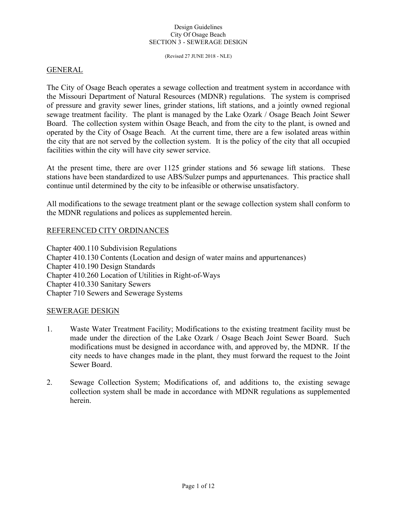(Revised 27 JUNE 2018 - NLE)

## GENERAL

The City of Osage Beach operates a sewage collection and treatment system in accordance with the Missouri Department of Natural Resources (MDNR) regulations. The system is comprised of pressure and gravity sewer lines, grinder stations, lift stations, and a jointly owned regional sewage treatment facility. The plant is managed by the Lake Ozark / Osage Beach Joint Sewer Board. The collection system within Osage Beach, and from the city to the plant, is owned and operated by the City of Osage Beach. At the current time, there are a few isolated areas within the city that are not served by the collection system. It is the policy of the city that all occupied facilities within the city will have city sewer service.

At the present time, there are over 1125 grinder stations and 56 sewage lift stations. These stations have been standardized to use ABS/Sulzer pumps and appurtenances. This practice shall continue until determined by the city to be infeasible or otherwise unsatisfactory.

All modifications to the sewage treatment plant or the sewage collection system shall conform to the MDNR regulations and polices as supplemented herein.

## REFERENCED CITY ORDINANCES

Chapter 400.110 Subdivision Regulations Chapter 410.130 Contents (Location and design of water mains and appurtenances) Chapter 410.190 Design Standards Chapter 410.260 Location of Utilities in Right-of-Ways Chapter 410.330 Sanitary Sewers Chapter 710 Sewers and Sewerage Systems

### SEWERAGE DESIGN

- 1. Waste Water Treatment Facility; Modifications to the existing treatment facility must be made under the direction of the Lake Ozark / Osage Beach Joint Sewer Board. Such modifications must be designed in accordance with, and approved by, the MDNR. If the city needs to have changes made in the plant, they must forward the request to the Joint Sewer Board.
- 2. Sewage Collection System; Modifications of, and additions to, the existing sewage collection system shall be made in accordance with MDNR regulations as supplemented herein.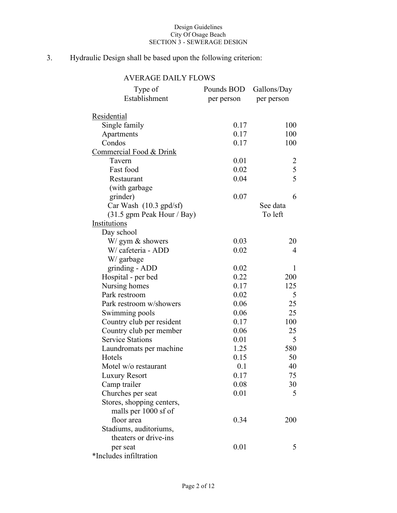# 3. Hydraulic Design shall be based upon the following criterion:

# AVERAGE DAILY FLOWS

| Type of                            | Pounds BOD | Gallons/Day    |
|------------------------------------|------------|----------------|
| Establishment                      | per person | per person     |
|                                    |            |                |
| <u>Residential</u>                 |            |                |
| Single family                      | 0.17       | 100            |
| Apartments                         | 0.17       | 100            |
| Condos                             | 0.17       | 100            |
| <u>Commercial Food &amp; Drink</u> |            |                |
| Tavern                             | 0.01       | 2              |
| Fast food                          | 0.02       | 5              |
| Restaurant                         | 0.04       | 5              |
| (with garbage                      |            |                |
| grinder)                           | 0.07       | 6              |
| Car Wash $(10.3 \text{ gpd/sf})$   |            | See data       |
| $(31.5$ gpm Peak Hour / Bay)       |            | To left        |
| Institutions                       |            |                |
| Day school                         |            |                |
| W/ gym & showers                   | 0.03       | 20             |
| W/ cafeteria - ADD                 | 0.02       | $\overline{4}$ |
| W/ garbage                         |            |                |
| grinding - ADD                     | 0.02       | 1              |
| Hospital - per bed                 | 0.22       | 200            |
| Nursing homes                      | 0.17       | 125            |
| Park restroom                      | 0.02       | 5              |
| Park restroom w/showers            | 0.06       | 25             |
| Swimming pools                     | 0.06       | 25             |
| Country club per resident          | 0.17       | 100            |
| Country club per member            | 0.06       | 25             |
| <b>Service Stations</b>            | 0.01       | 5              |
| Laundromats per machine            | 1.25       | 580            |
| Hotels                             | 0.15       | 50             |
| Motel w/o restaurant               | 0.1        | 40             |
| Luxury Resort                      | 0.17       | 75             |
| Camp trailer                       | 0.08       | 30             |
| Churches per seat                  | 0.01       | 5              |
| Stores, shopping centers,          |            |                |
| malls per 1000 sf of               |            |                |
| floor area                         | 0.34       | 200            |
| Stadiums, auditoriums,             |            |                |
| theaters or drive-ins              |            |                |
| per seat                           | 0.01       | 5              |
| *Includes infiltration             |            |                |
|                                    |            |                |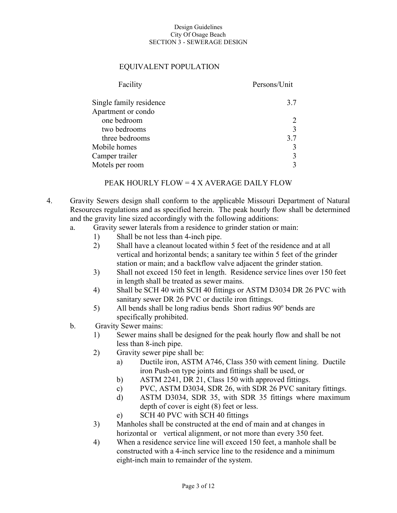## EQUIVALENT POPULATION

| Facility                | Persons/Unit |
|-------------------------|--------------|
| Single family residence | 3.7          |
| Apartment or condo      |              |
| one bedroom             |              |
| two bedrooms            |              |
| three bedrooms          | 3.7          |
| Mobile homes            |              |
| Camper trailer          |              |
| Motels per room         |              |
|                         |              |

## PEAK HOURLY FLOW = 4 X AVERAGE DAILY FLOW

- 4. Gravity Sewers design shall conform to the applicable Missouri Department of Natural Resources regulations and as specified herein. The peak hourly flow shall be determined and the gravity line sized accordingly with the following additions:
	- a. Gravity sewer laterals from a residence to grinder station or main:
		- 1) Shall be not less than 4-inch pipe.
		- 2) Shall have a cleanout located within 5 feet of the residence and at all vertical and horizontal bends; a sanitary tee within 5 feet of the grinder station or main; and a backflow valve adjacent the grinder station.
		- 3) Shall not exceed 150 feet in length. Residence service lines over 150 feet in length shall be treated as sewer mains.
		- 4) Shall be SCH 40 with SCH 40 fittings or ASTM D3034 DR 26 PVC with sanitary sewer DR 26 PVC or ductile iron fittings.
		- 5) All bends shall be long radius bends Short radius  $90^\circ$  bends are specifically prohibited.
	- b. Gravity Sewer mains:
		- 1) Sewer mains shall be designed for the peak hourly flow and shall be not less than 8-inch pipe.
		- 2) Gravity sewer pipe shall be:
			- a) Ductile iron, ASTM A746, Class 350 with cement lining. Ductile iron Push-on type joints and fittings shall be used, or
			- b) ASTM 2241, DR 21, Class 150 with approved fittings.
			- c) PVC, ASTM D3034, SDR 26, with SDR 26 PVC sanitary fittings.
			- d) ASTM D3034, SDR 35, with SDR 35 fittings where maximum depth of cover is eight (8) feet or less.
			- e) SCH 40 PVC with SCH 40 fittings
		- 3) Manholes shall be constructed at the end of main and at changes in horizontal or vertical alignment, or not more than every 350 feet.
		- 4) When a residence service line will exceed 150 feet, a manhole shall be constructed with a 4-inch service line to the residence and a minimum eight-inch main to remainder of the system.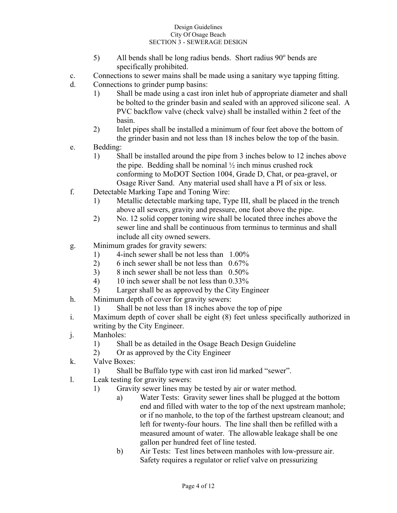- 5) All bends shall be long radius bends. Short radius  $90^\circ$  bends are specifically prohibited.
- c. Connections to sewer mains shall be made using a sanitary wye tapping fitting.
- d. Connections to grinder pump basins:
	- 1) Shall be made using a cast iron inlet hub of appropriate diameter and shall be bolted to the grinder basin and sealed with an approved silicone seal. A PVC backflow valve (check valve) shall be installed within 2 feet of the basin.
	- 2) Inlet pipes shall be installed a minimum of four feet above the bottom of the grinder basin and not less than 18 inches below the top of the basin.
- e. Bedding:
	- 1) Shall be installed around the pipe from 3 inches below to 12 inches above the pipe. Bedding shall be nominal  $\frac{1}{2}$  inch minus crushed rock conforming to MoDOT Section 1004, Grade D, Chat, or pea-gravel, or Osage River Sand. Any material used shall have a PI of six or less.
- f. Detectable Marking Tape and Toning Wire:
	- 1) Metallic detectable marking tape, Type III, shall be placed in the trench above all sewers, gravity and pressure, one foot above the pipe.
	- 2) No. 12 solid copper toning wire shall be located three inches above the sewer line and shall be continuous from terminus to terminus and shall include all city owned sewers.
- g. Minimum grades for gravity sewers:
	- 1) 4-inch sewer shall be not less than 1.00%
	- 2) 6 inch sewer shall be not less than 0.67%
	- 3) 8 inch sewer shall be not less than 0.50%
	- 4) 10 inch sewer shall be not less than 0.33%
	- 5) Larger shall be as approved by the City Engineer
- h. Minimum depth of cover for gravity sewers:
	- 1) Shall be not less than 18 inches above the top of pipe
- i. Maximum depth of cover shall be eight (8) feet unless specifically authorized in writing by the City Engineer.
- j. Manholes:
	- 1) Shall be as detailed in the Osage Beach Design Guideline
	- 2) Or as approved by the City Engineer
- k. Valve Boxes:
	- 1) Shall be Buffalo type with cast iron lid marked "sewer".
- l. Leak testing for gravity sewers:
	- 1) Gravity sewer lines may be tested by air or water method.
		- a) Water Tests: Gravity sewer lines shall be plugged at the bottom end and filled with water to the top of the next upstream manhole; or if no manhole, to the top of the farthest upstream cleanout; and left for twenty-four hours. The line shall then be refilled with a measured amount of water. The allowable leakage shall be one gallon per hundred feet of line tested.
		- b) Air Tests: Test lines between manholes with low-pressure air. Safety requires a regulator or relief valve on pressurizing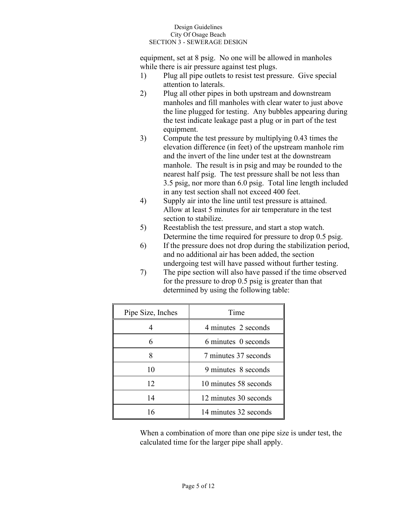equipment, set at 8 psig. No one will be allowed in manholes while there is air pressure against test plugs.

- 1) Plug all pipe outlets to resist test pressure. Give special attention to laterals.
- 2) Plug all other pipes in both upstream and downstream manholes and fill manholes with clear water to just above the line plugged for testing. Any bubbles appearing during the test indicate leakage past a plug or in part of the test equipment.
- 3) Compute the test pressure by multiplying 0.43 times the elevation difference (in feet) of the upstream manhole rim and the invert of the line under test at the downstream manhole. The result is in psig and may be rounded to the nearest half psig. The test pressure shall be not less than 3.5 psig, nor more than 6.0 psig. Total line length included in any test section shall not exceed 400 feet.
- 4) Supply air into the line until test pressure is attained. Allow at least 5 minutes for air temperature in the test section to stabilize.
- 5) Reestablish the test pressure, and start a stop watch. Determine the time required for pressure to drop 0.5 psig.
- 6) If the pressure does not drop during the stabilization period, and no additional air has been added, the section undergoing test will have passed without further testing.
- 7) The pipe section will also have passed if the time observed for the pressure to drop 0.5 psig is greater than that determined by using the following table:

| Pipe Size, Inches | Time                  |  |
|-------------------|-----------------------|--|
|                   | 4 minutes 2 seconds   |  |
| 6                 | 6 minutes 0 seconds   |  |
|                   | 7 minutes 37 seconds  |  |
| 10                | 9 minutes 8 seconds   |  |
| 12                | 10 minutes 58 seconds |  |
| 14                | 12 minutes 30 seconds |  |
| 16                | 14 minutes 32 seconds |  |

When a combination of more than one pipe size is under test, the calculated time for the larger pipe shall apply.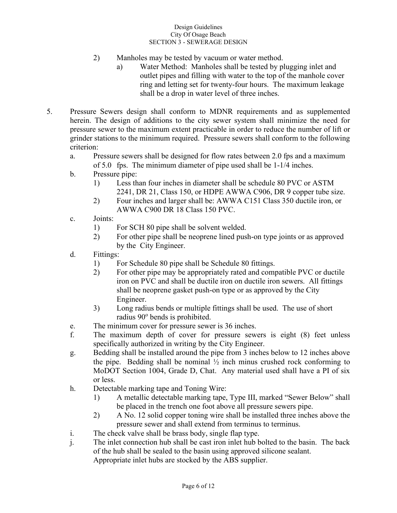- 2) Manholes may be tested by vacuum or water method.
	- a) Water Method: Manholes shall be tested by plugging inlet and outlet pipes and filling with water to the top of the manhole cover ring and letting set for twenty-four hours. The maximum leakage shall be a drop in water level of three inches.
- 5. Pressure Sewers design shall conform to MDNR requirements and as supplemented herein. The design of additions to the city sewer system shall minimize the need for pressure sewer to the maximum extent practicable in order to reduce the number of lift or grinder stations to the minimum required. Pressure sewers shall conform to the following criterion:
	- a. Pressure sewers shall be designed for flow rates between 2.0 fps and a maximum of 5.0 fps. The minimum diameter of pipe used shall be 1-1/4 inches.
	- b. Pressure pipe:
		- 1) Less than four inches in diameter shall be schedule 80 PVC or ASTM 2241, DR 21, Class 150, or HDPE AWWA C906, DR 9 copper tube size.
		- 2) Four inches and larger shall be: AWWA C151 Class 350 ductile iron, or AWWA C900 DR 18 Class 150 PVC.
	- c. Joints:
		- 1) For SCH 80 pipe shall be solvent welded.
		- 2) For other pipe shall be neoprene lined push-on type joints or as approved by the City Engineer.
	- d. Fittings:
		- 1) For Schedule 80 pipe shall be Schedule 80 fittings.
		- 2) For other pipe may be appropriately rated and compatible PVC or ductile iron on PVC and shall be ductile iron on ductile iron sewers. All fittings shall be neoprene gasket push-on type or as approved by the City Engineer.
		- 3) Long radius bends or multiple fittings shall be used. The use of short radius 90° bends is prohibited.
	- e. The minimum cover for pressure sewer is 36 inches.
	- f. The maximum depth of cover for pressure sewers is eight (8) feet unless specifically authorized in writing by the City Engineer.
	- g. Bedding shall be installed around the pipe from 3 inches below to 12 inches above the pipe. Bedding shall be nominal  $\frac{1}{2}$  inch minus crushed rock conforming to MoDOT Section 1004, Grade D, Chat. Any material used shall have a PI of six or less.
	- h. Detectable marking tape and Toning Wire:
		- 1) A metallic detectable marking tape, Type III, marked "Sewer Below" shall be placed in the trench one foot above all pressure sewers pipe.
		- 2) A No. 12 solid copper toning wire shall be installed three inches above the pressure sewer and shall extend from terminus to terminus.
	- i. The check valve shall be brass body, single flap type.
	- j. The inlet connection hub shall be cast iron inlet hub bolted to the basin. The back of the hub shall be sealed to the basin using approved silicone sealant. Appropriate inlet hubs are stocked by the ABS supplier.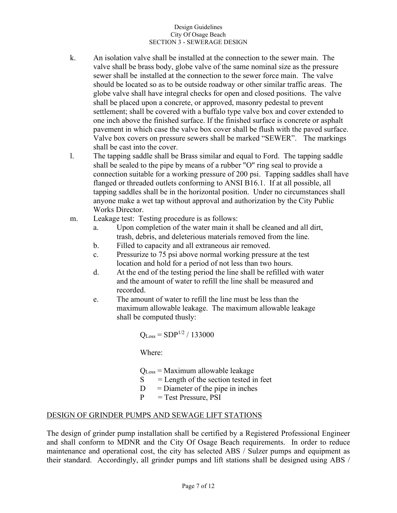- k. An isolation valve shall be installed at the connection to the sewer main. The valve shall be brass body, globe valve of the same nominal size as the pressure sewer shall be installed at the connection to the sewer force main. The valve should be located so as to be outside roadway or other similar traffic areas. The globe valve shall have integral checks for open and closed positions. The valve shall be placed upon a concrete, or approved, masonry pedestal to prevent settlement; shall be covered with a buffalo type valve box and cover extended to one inch above the finished surface. If the finished surface is concrete or asphalt pavement in which case the valve box cover shall be flush with the paved surface. Valve box covers on pressure sewers shall be marked "SEWER". The markings shall be cast into the cover.
- l. The tapping saddle shall be Brass similar and equal to Ford. The tapping saddle shall be sealed to the pipe by means of a rubber "O" ring seal to provide a connection suitable for a working pressure of 200 psi. Tapping saddles shall have flanged or threaded outlets conforming to ANSI B16.1. If at all possible, all tapping saddles shall be in the horizontal position. Under no circumstances shall anyone make a wet tap without approval and authorization by the City Public Works Director.
- m. Leakage test: Testing procedure is as follows:
	- a. Upon completion of the water main it shall be cleaned and all dirt, trash, debris, and deleterious materials removed from the line.
	- b. Filled to capacity and all extraneous air removed.
	- c. Pressurize to 75 psi above normal working pressure at the test location and hold for a period of not less than two hours.
	- d. At the end of the testing period the line shall be refilled with water and the amount of water to refill the line shall be measured and recorded.
	- e. The amount of water to refill the line must be less than the maximum allowable leakage. The maximum allowable leakage shall be computed thusly:

$$
Q_{Loss} = SDP^{1/2} / 133000
$$

Where:

QLoss = Maximum allowable leakage

- $S =$  Length of the section tested in feet
- $D =$ Diameter of the pipe in inches
- $P = Test Pressure, PSI$

# DESIGN OF GRINDER PUMPS AND SEWAGE LIFT STATIONS

The design of grinder pump installation shall be certified by a Registered Professional Engineer and shall conform to MDNR and the City Of Osage Beach requirements. In order to reduce maintenance and operational cost, the city has selected ABS / Sulzer pumps and equipment as their standard. Accordingly, all grinder pumps and lift stations shall be designed using ABS /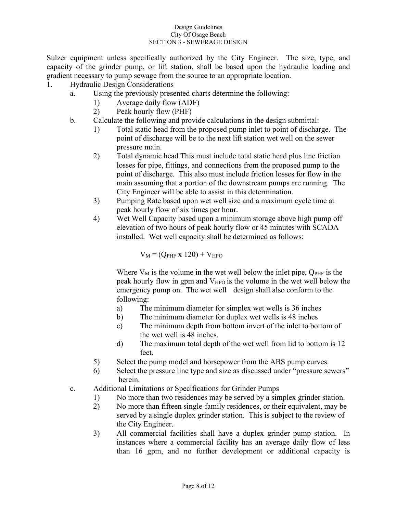Sulzer equipment unless specifically authorized by the City Engineer. The size, type, and capacity of the grinder pump, or lift station, shall be based upon the hydraulic loading and gradient necessary to pump sewage from the source to an appropriate location.

- 1. Hydraulic Design Considerations
	- a. Using the previously presented charts determine the following:
		- 1) Average daily flow (ADF)
		- 2) Peak hourly flow (PHF)
	- b. Calculate the following and provide calculations in the design submittal:
		- 1) Total static head from the proposed pump inlet to point of discharge. The point of discharge will be to the next lift station wet well on the sewer pressure main.
		- 2) Total dynamic head This must include total static head plus line friction losses for pipe, fittings, and connections from the proposed pump to the point of discharge. This also must include friction losses for flow in the main assuming that a portion of the downstream pumps are running. The City Engineer will be able to assist in this determination.
		- 3) Pumping Rate based upon wet well size and a maximum cycle time at peak hourly flow of six times per hour.
		- 4) Wet Well Capacity based upon a minimum storage above high pump off elevation of two hours of peak hourly flow or 45 minutes with SCADA installed. Wet well capacity shall be determined as follows:

 $V_M = (Q_{PHF} x 120) + V_{HPO}$ 

Where  $V_M$  is the volume in the wet well below the inlet pipe,  $Q_{\text{PHF}}$  is the peak hourly flow in gpm and  $V_{HPO}$  is the volume in the wet well below the emergency pump on. The wet well design shall also conform to the following:

- a) The minimum diameter for simplex wet wells is 36 inches
- b) The minimum diameter for duplex wet wells is 48 inches
- c) The minimum depth from bottom invert of the inlet to bottom of the wet well is 48 inches.
- d) The maximum total depth of the wet well from lid to bottom is 12 feet.
- 5) Select the pump model and horsepower from the ABS pump curves.
- 6) Select the pressure line type and size as discussed under "pressure sewers" herein.
- c. Additional Limitations or Specifications for Grinder Pumps
	- 1) No more than two residences may be served by a simplex grinder station.
	- 2) No more than fifteen single-family residences, or their equivalent, may be served by a single duplex grinder station. This is subject to the review of the City Engineer.
	- 3) All commercial facilities shall have a duplex grinder pump station. In instances where a commercial facility has an average daily flow of less than 16 gpm, and no further development or additional capacity is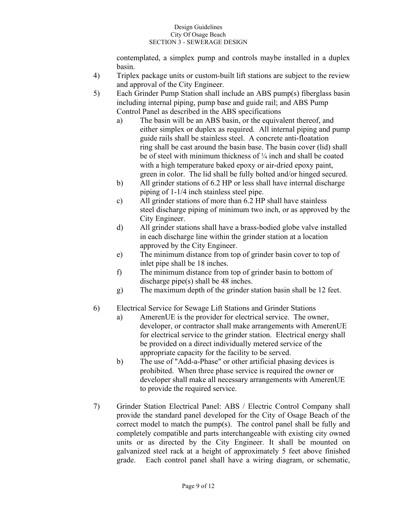contemplated, a simplex pump and controls maybe installed in a duplex basin.

- 4) Triplex package units or custom-built lift stations are subject to the review and approval of the City Engineer.
- 5) Each Grinder Pump Station shall include an ABS pump(s) fiberglass basin including internal piping, pump base and guide rail; and ABS Pump Control Panel as described in the ABS specifications
	- a) The basin will be an ABS basin, or the equivalent thereof, and either simplex or duplex as required. All internal piping and pump guide rails shall be stainless steel. A concrete anti-floatation ring shall be cast around the basin base. The basin cover (lid) shall be of steel with minimum thickness of ¼ inch and shall be coated with a high temperature baked epoxy or air-dried epoxy paint, green in color. The lid shall be fully bolted and/or hinged secured.
	- b) All grinder stations of 6.2 HP or less shall have internal discharge piping of 1-1/4 inch stainless steel pipe.
	- c) All grinder stations of more than 6.2 HP shall have stainless steel discharge piping of minimum two inch, or as approved by the City Engineer.
	- d) All grinder stations shall have a brass-bodied globe valve installed in each discharge line within the grinder station at a location approved by the City Engineer.
	- e) The minimum distance from top of grinder basin cover to top of inlet pipe shall be 18 inches.
	- f) The minimum distance from top of grinder basin to bottom of discharge pipe(s) shall be 48 inches.
	- g) The maximum depth of the grinder station basin shall be 12 feet.
- 6) Electrical Service for Sewage Lift Stations and Grinder Stations
	- a) AmerenUE is the provider for electrical service. The owner, developer, or contractor shall make arrangements with AmerenUE for electrical service to the grinder station. Electrical energy shall be provided on a direct individually metered service of the appropriate capacity for the facility to be served.
	- b) The use of "Add-a-Phase" or other artificial phasing devices is prohibited. When three phase service is required the owner or developer shall make all necessary arrangements with AmerenUE to provide the required service.
- 7) Grinder Station Electrical Panel: ABS / Electric Control Company shall provide the standard panel developed for the City of Osage Beach of the correct model to match the pump(s). The control panel shall be fully and completely compatible and parts interchangeable with existing city owned units or as directed by the City Engineer. It shall be mounted on galvanized steel rack at a height of approximately 5 feet above finished grade. Each control panel shall have a wiring diagram, or schematic,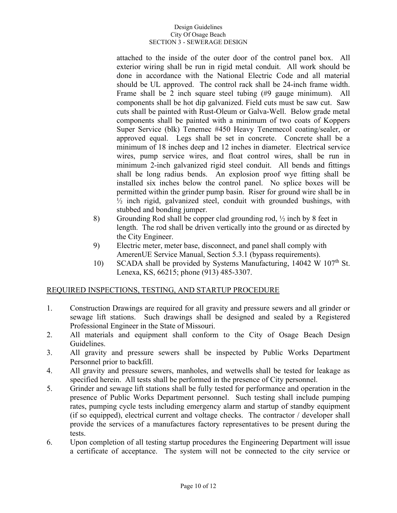attached to the inside of the outer door of the control panel box. All exterior wiring shall be run in rigid metal conduit. All work should be done in accordance with the National Electric Code and all material should be UL approved. The control rack shall be 24-inch frame width. Frame shall be 2 inch square steel tubing (#9 gauge minimum). All components shall be hot dip galvanized. Field cuts must be saw cut. Saw cuts shall be painted with Rust-Oleum or Galva-Well. Below grade metal components shall be painted with a minimum of two coats of Koppers Super Service (blk) Tenemec #450 Heavy Tenemecol coating/sealer, or approved equal. Legs shall be set in concrete. Concrete shall be a minimum of 18 inches deep and 12 inches in diameter. Electrical service wires, pump service wires, and float control wires, shall be run in minimum 2-inch galvanized rigid steel conduit. All bends and fittings shall be long radius bends. An explosion proof wye fitting shall be installed six inches below the control panel. No splice boxes will be permitted within the grinder pump basin. Riser for ground wire shall be in  $\frac{1}{2}$  inch rigid, galvanized steel, conduit with grounded bushings, with stubbed and bonding jumper.

- 8) Grounding Rod shall be copper clad grounding rod, ½ inch by 8 feet in length. The rod shall be driven vertically into the ground or as directed by the City Engineer.
- 9) Electric meter, meter base, disconnect, and panel shall comply with AmerenUE Service Manual, Section 5.3.1 (bypass requirements).
- 10) SCADA shall be provided by Systems Manufacturing, 14042 W 107<sup>th</sup> St. Lenexa, KS, 66215; phone (913) 485-3307.

# REQUIRED INSPECTIONS, TESTING, AND STARTUP PROCEDURE

- 1. Construction Drawings are required for all gravity and pressure sewers and all grinder or sewage lift stations. Such drawings shall be designed and sealed by a Registered Professional Engineer in the State of Missouri.
- 2. All materials and equipment shall conform to the City of Osage Beach Design Guidelines.
- 3. All gravity and pressure sewers shall be inspected by Public Works Department Personnel prior to backfill.
- 4. All gravity and pressure sewers, manholes, and wetwells shall be tested for leakage as specified herein. All tests shall be performed in the presence of City personnel.
- 5. Grinder and sewage lift stations shall be fully tested for performance and operation in the presence of Public Works Department personnel. Such testing shall include pumping rates, pumping cycle tests including emergency alarm and startup of standby equipment (if so equipped), electrical current and voltage checks. The contractor / developer shall provide the services of a manufactures factory representatives to be present during the tests.
- 6. Upon completion of all testing startup procedures the Engineering Department will issue a certificate of acceptance. The system will not be connected to the city service or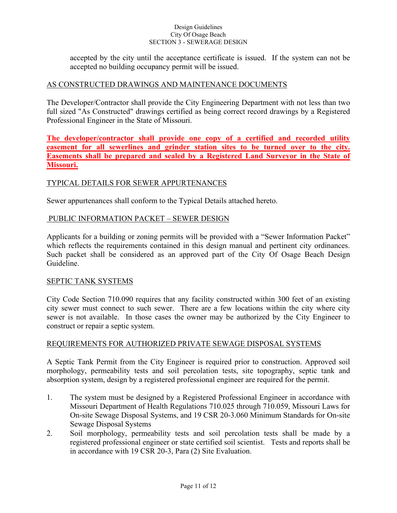accepted by the city until the acceptance certificate is issued. If the system can not be accepted no building occupancy permit will be issued.

# AS CONSTRUCTED DRAWINGS AND MAINTENANCE DOCUMENTS

The Developer/Contractor shall provide the City Engineering Department with not less than two full sized "As Constructed" drawings certified as being correct record drawings by a Registered Professional Engineer in the State of Missouri.

**The developer/contractor shall provide one copy of a certified and recorded utility easement for all sewerlines and grinder station sites to be turned over to the city. Easements shall be prepared and sealed by a Registered Land Surveyor in the State of Missouri.** 

# TYPICAL DETAILS FOR SEWER APPURTENANCES

Sewer appurtenances shall conform to the Typical Details attached hereto.

# PUBLIC INFORMATION PACKET – SEWER DESIGN

Applicants for a building or zoning permits will be provided with a "Sewer Information Packet" which reflects the requirements contained in this design manual and pertinent city ordinances. Such packet shall be considered as an approved part of the City Of Osage Beach Design Guideline.

## SEPTIC TANK SYSTEMS

City Code Section 710.090 requires that any facility constructed within 300 feet of an existing city sewer must connect to such sewer. There are a few locations within the city where city sewer is not available. In those cases the owner may be authorized by the City Engineer to construct or repair a septic system.

# REQUIREMENTS FOR AUTHORIZED PRIVATE SEWAGE DISPOSAL SYSTEMS

A Septic Tank Permit from the City Engineer is required prior to construction. Approved soil morphology, permeability tests and soil percolation tests, site topography, septic tank and absorption system, design by a registered professional engineer are required for the permit.

- 1. The system must be designed by a Registered Professional Engineer in accordance with Missouri Department of Health Regulations 710.025 through 710.059, Missouri Laws for On-site Sewage Disposal Systems, and 19 CSR 20-3.060 Minimum Standards for On-site Sewage Disposal Systems
- 2. Soil morphology, permeability tests and soil percolation tests shall be made by a registered professional engineer or state certified soil scientist. Tests and reports shall be in accordance with 19 CSR 20-3, Para (2) Site Evaluation.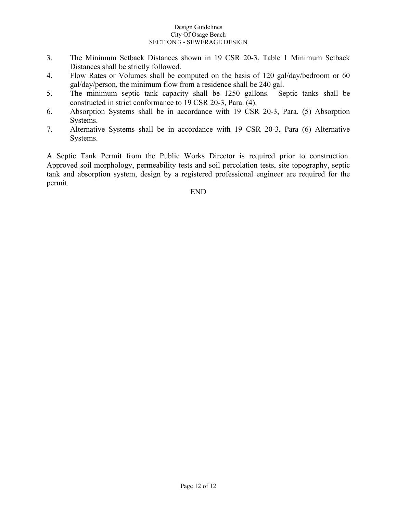- 3. The Minimum Setback Distances shown in 19 CSR 20-3, Table 1 Minimum Setback Distances shall be strictly followed.
- 4. Flow Rates or Volumes shall be computed on the basis of 120 gal/day/bedroom or 60 gal/day/person, the minimum flow from a residence shall be 240 gal.
- 5. The minimum septic tank capacity shall be 1250 gallons. Septic tanks shall be constructed in strict conformance to 19 CSR 20-3, Para. (4).
- 6. Absorption Systems shall be in accordance with 19 CSR 20-3, Para. (5) Absorption Systems.
- 7. Alternative Systems shall be in accordance with 19 CSR 20-3, Para (6) Alternative Systems.

A Septic Tank Permit from the Public Works Director is required prior to construction. Approved soil morphology, permeability tests and soil percolation tests, site topography, septic tank and absorption system, design by a registered professional engineer are required for the permit.

# END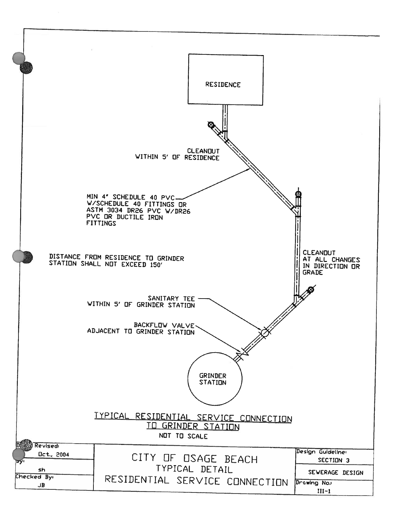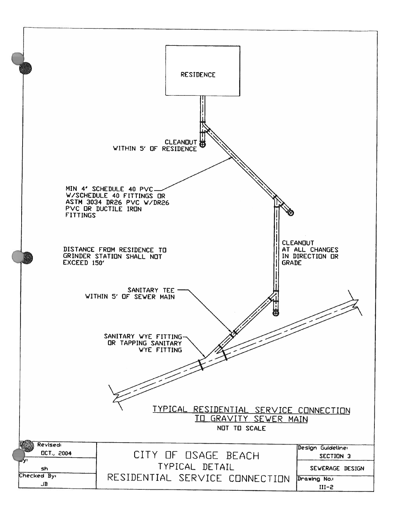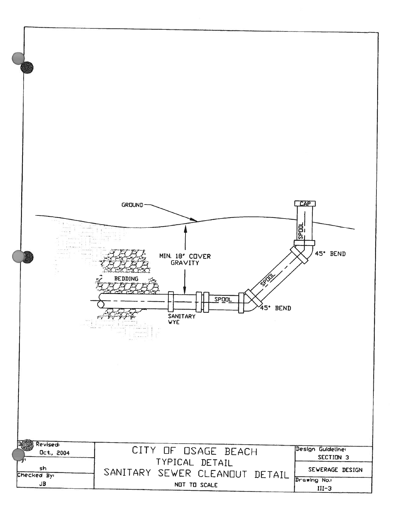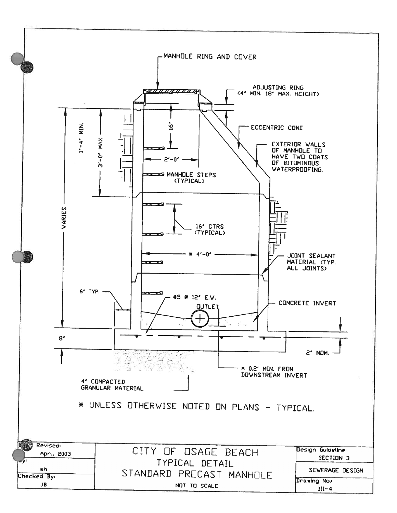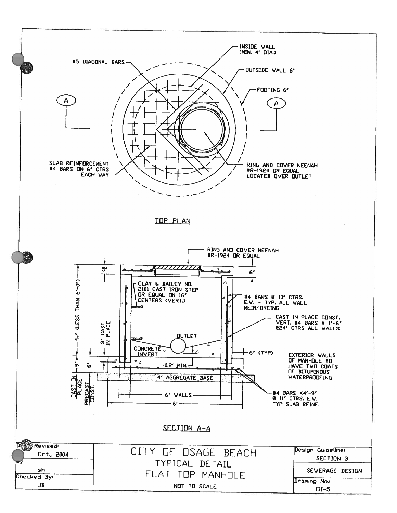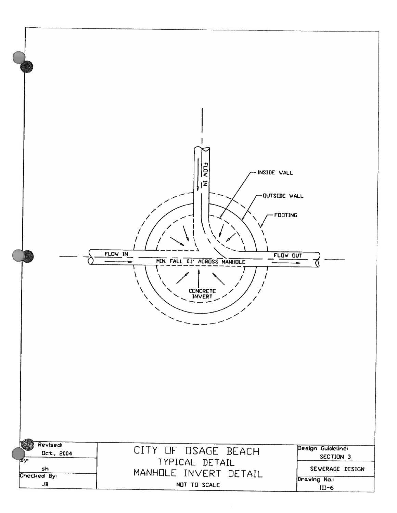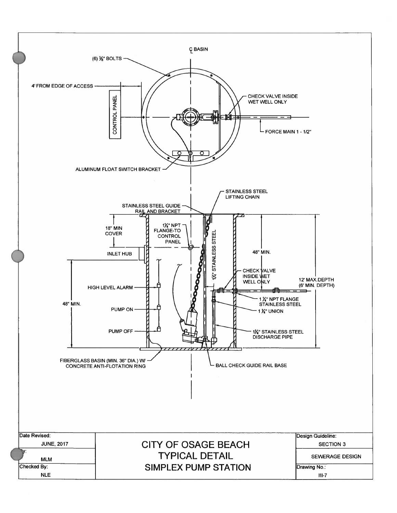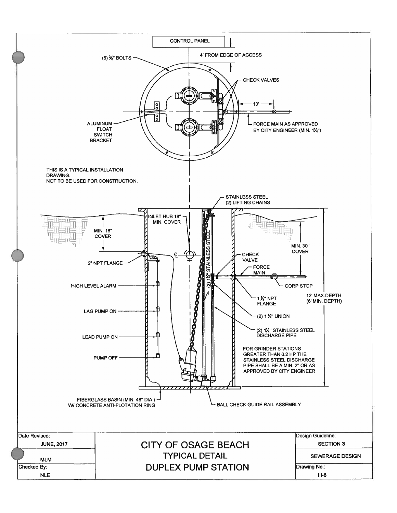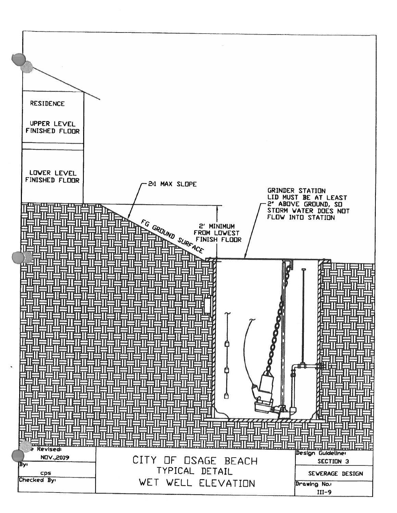